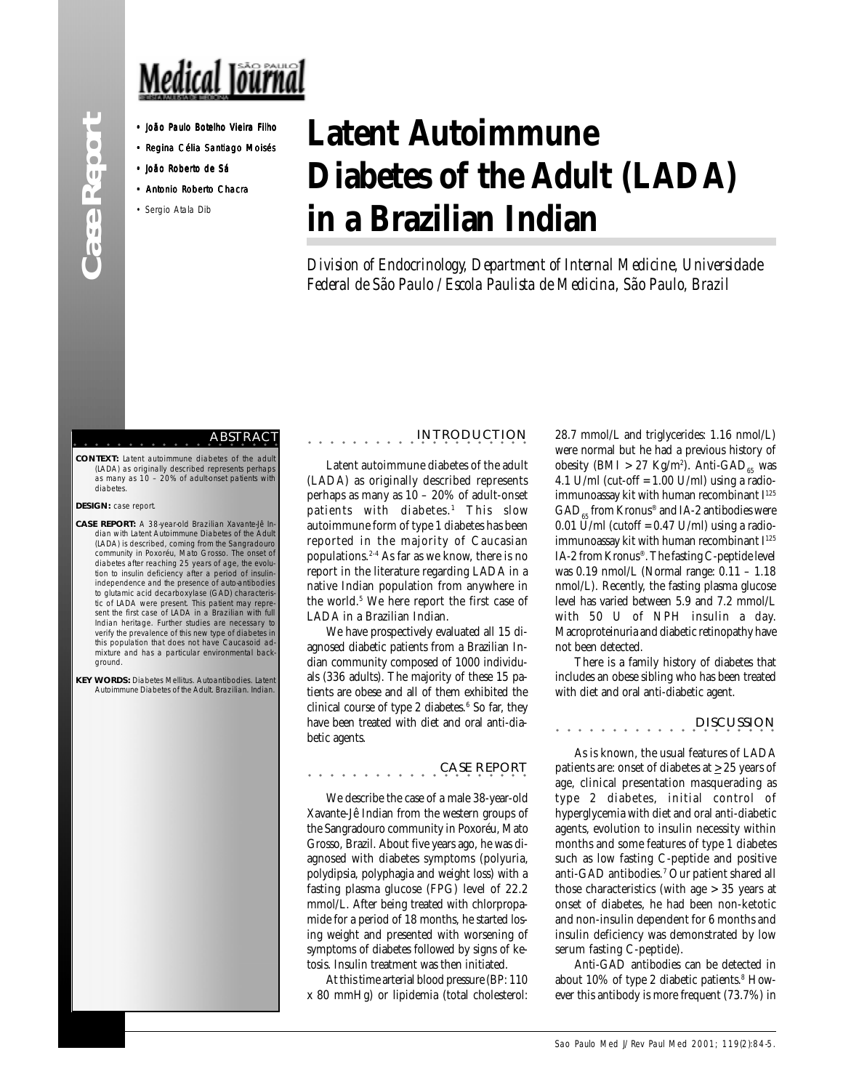# Medical Journal

- 
- Regina Célia Santiago Moisés
- João Roberto de Sá
- Antonio Roberto Chacra
- Sergio Atala Dib

# **Latent Autoimmune Diabetes of the Adult (LADA) in a Brazilian Indian**

*Division of Endocrinology, Department of Internal Medicine, Universidade Federal de São Paulo / Escola Paulista de Medicina, São Paulo, Brazil*

#### aaaaaaaaaaaaaaaaaaa ABSTRACT

**CONTEXT:** Latent autoimmune diabetes of the adul (LADA) as originally described represents perhaps as many as 10 – 20% of adult-onset patients with diabetes

### **DESIGN:** case report.

- **CASE REPORT:** A 38-year-old Brazilian Xavante-Jê Indian with Latent Autoimmune Diabetes of the Adult (LADA) is described, coming from the Sangradouro community in Poxoréu, Mato Grosso. The onset of diabetes after reaching 25 years of age, the evolu-tion to insulin deficiency after a period of insulinindependence and the presence of auto-antibodies to glutamic acid decarboxylase (GAD) characteris-tic of LADA were present. This patient may represent the first case of LADA in a Brazilian with full Indian heritage. Further studies are necessary to verify the prevalence of this new type of diabetes in this population that does not have Caucasoid admixture and has a particular environmental background.
- **KEY WORDS:** Diabetes Mellitus. Autoantibodies. Latent Autoimmune Diabetes of the Adult. Brazilian. Indian.

## aaaaaaaaaaaa aaaaaaaa INTRODUCTION

Latent autoimmune diabetes of the adult (LADA) as originally described represents perhaps as many as 10 – 20% of adult-onset patients with diabetes.<sup>1</sup> This slow autoimmune form of type 1 diabetes has been reported in the majority of Caucasian populations.2-4 As far as we know, there is no report in the literature regarding LADA in a native Indian population from anywhere in the world.5 We here report the first case of LADA in a Brazilian Indian.

We have prospectively evaluated all 15 diagnosed diabetic patients from a Brazilian Indian community composed of 1000 individuals (336 adults). The majority of these 15 patients are obese and all of them exhibited the clinical course of type 2 diabetes.<sup>6</sup> So far, they have been treated with diet and oral anti-diabetic agents.

aaaaaaaaaaaa CASE REPORT aaaaaaaa

We describe the case of a male 38-year-old Xavante-Jê Indian from the western groups of the Sangradouro community in Poxoréu, Mato Grosso, Brazil. About five years ago, he was diagnosed with diabetes symptoms (polyuria, polydipsia, polyphagia and weight loss) with a fasting plasma glucose (FPG) level of 22.2 mmol/L. After being treated with chlorpropamide for a period of 18 months, he started losing weight and presented with worsening of symptoms of diabetes followed by signs of ketosis. Insulin treatment was then initiated.

At this time arterial blood pressure (BP: 110 x 80 mmHg) or lipidemia (total cholesterol:

28.7 mmol/L and triglycerides: 1.16 nmol/L) were normal but he had a previous history of obesity (BMI > 27 Kg/m<sup>2</sup>). Anti-GAD<sub>65</sub> was 4.1 U/ml (cut-off =  $1.00$  U/ml) using a radioimmunoassay kit with human recombinant I<sup>125</sup>  $GAD_{\text{est}}$  from Kronus® and IA-2 antibodies were  $0.01$  U/ml (cutoff =  $0.47$  U/ml) using a radioimmunoassay kit with human recombinant I<sup>125</sup> IA-2 from Kronus®. The fasting C-peptide level was 0.19 nmol/L (Normal range: 0.11 – 1.18 nmol/L). Recently, the fasting plasma glucose level has varied between 5.9 and 7.2 mmol/L with 50 U of NPH insulin a day. Macroproteinuria and diabetic retinopathy have not been detected.

There is a family history of diabetes that includes an obese sibling who has been treated with diet and oral anti-diabetic agent.

### aaaaaaaaaaaa aaaaaaaa DISCUSSION

As is known, the usual features of LADA patients are: onset of diabetes at  $\geq$  25 years of age, clinical presentation masquerading as type 2 diabetes, initial control of hyperglycemia with diet and oral anti-diabetic agents, evolution to insulin necessity within months and some features of type 1 diabetes such as low fasting C-peptide and positive anti-GAD antibodies.7 Our patient shared all those characteristics (with age > 35 years at onset of diabetes, he had been non-ketotic and non-insulin dependent for 6 months and insulin deficiency was demonstrated by low serum fasting C-peptide).

Anti-GAD antibodies can be detected in about 10% of type 2 diabetic patients.<sup>8</sup> However this antibody is more frequent (73.7%) in